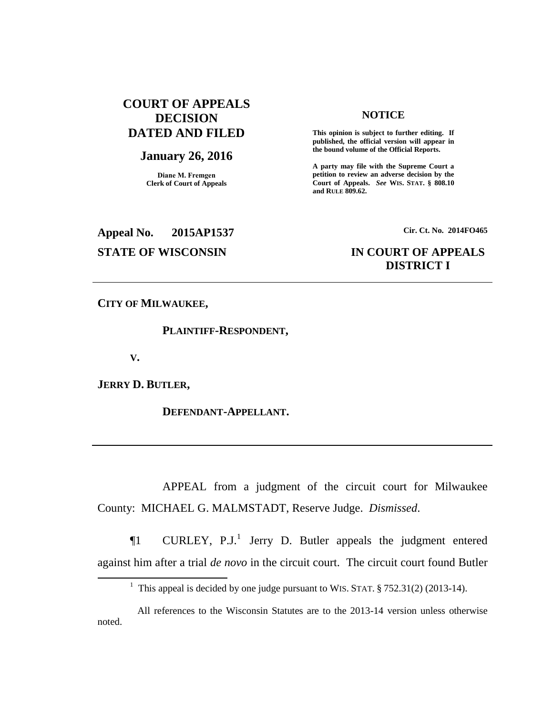# **COURT OF APPEALS DECISION DATED AND FILED**

## **January 26, 2016**

**Diane M. Fremgen Clerk of Court of Appeals**

#### **NOTICE**

**This opinion is subject to further editing. If published, the official version will appear in the bound volume of the Official Reports.** 

**A party may file with the Supreme Court a petition to review an adverse decision by the Court of Appeals.** *See* **WIS. STAT. § 808.10 and RULE 809.62.** 

**Appeal No. 2015AP1537 Cir. Ct. No. 2014FO465**

## **STATE OF WISCONSIN IN COURT OF APPEALS DISTRICT I**

**CITY OF MILWAUKEE,**

**PLAINTIFF-RESPONDENT,**

**V.**

**JERRY D. BUTLER,**

**DEFENDANT-APPELLANT.**

APPEAL from a judgment of the circuit court for Milwaukee County: MICHAEL G. MALMSTADT, Reserve Judge. *Dismissed*.

 $\P1$  CURLEY, P.J.<sup>1</sup> Jerry D. Butler appeals the judgment entered against him after a trial *de novo* in the circuit court. The circuit court found Butler

<sup>&</sup>lt;sup>1</sup> This appeal is decided by one judge pursuant to WIS. STAT.  $\S 752.31(2)$  (2013-14).

All references to the Wisconsin Statutes are to the 2013-14 version unless otherwise noted.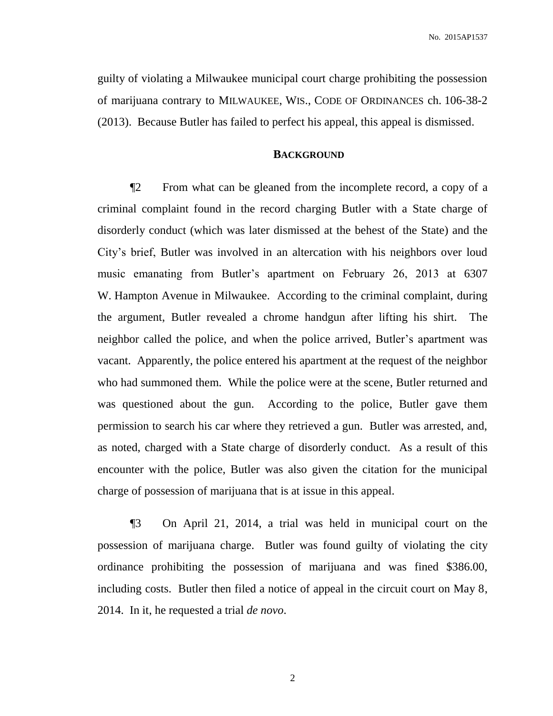No. 2015AP1537

guilty of violating a Milwaukee municipal court charge prohibiting the possession of marijuana contrary to MILWAUKEE, WIS., CODE OF ORDINANCES ch. 106-38-2 (2013). Because Butler has failed to perfect his appeal, this appeal is dismissed.

### **BACKGROUND**

¶2 From what can be gleaned from the incomplete record, a copy of a criminal complaint found in the record charging Butler with a State charge of disorderly conduct (which was later dismissed at the behest of the State) and the City's brief, Butler was involved in an altercation with his neighbors over loud music emanating from Butler's apartment on February 26, 2013 at 6307 W. Hampton Avenue in Milwaukee. According to the criminal complaint, during the argument, Butler revealed a chrome handgun after lifting his shirt. The neighbor called the police, and when the police arrived, Butler's apartment was vacant. Apparently, the police entered his apartment at the request of the neighbor who had summoned them. While the police were at the scene, Butler returned and was questioned about the gun. According to the police, Butler gave them permission to search his car where they retrieved a gun. Butler was arrested, and, as noted, charged with a State charge of disorderly conduct. As a result of this encounter with the police, Butler was also given the citation for the municipal charge of possession of marijuana that is at issue in this appeal.

¶3 On April 21, 2014, a trial was held in municipal court on the possession of marijuana charge. Butler was found guilty of violating the city ordinance prohibiting the possession of marijuana and was fined \$386.00, including costs. Butler then filed a notice of appeal in the circuit court on May 8, 2014. In it, he requested a trial *de novo*.

2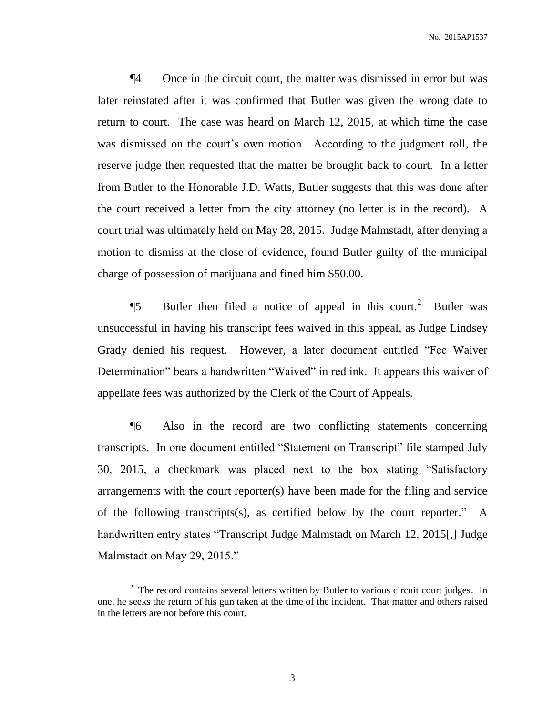¶4 Once in the circuit court, the matter was dismissed in error but was later reinstated after it was confirmed that Butler was given the wrong date to return to court. The case was heard on March 12, 2015, at which time the case was dismissed on the court's own motion. According to the judgment roll, the reserve judge then requested that the matter be brought back to court. In a letter from Butler to the Honorable J.D. Watts, Butler suggests that this was done after the court received a letter from the city attorney (no letter is in the record). A court trial was ultimately held on May 28, 2015. Judge Malmstadt, after denying a motion to dismiss at the close of evidence, found Butler guilty of the municipal charge of possession of marijuana and fined him \$50.00.

**Ject** 5 Butler then filed a notice of appeal in this court.<sup>2</sup> Butler was unsuccessful in having his transcript fees waived in this appeal, as Judge Lindsey Grady denied his request. However, a later document entitled "Fee Waiver Determination" bears a handwritten "Waived" in red ink. It appears this waiver of appellate fees was authorized by the Clerk of the Court of Appeals.

¶6 Also in the record are two conflicting statements concerning transcripts. In one document entitled "Statement on Transcript" file stamped July 30, 2015, a checkmark was placed next to the box stating "Satisfactory arrangements with the court reporter(s) have been made for the filing and service of the following transcripts(s), as certified below by the court reporter." A handwritten entry states "Transcript Judge Malmstadt on March 12, 2015[,] Judge Malmstadt on May 29, 2015."

 $2$  The record contains several letters written by Butler to various circuit court judges. In one, he seeks the return of his gun taken at the time of the incident. That matter and others raised in the letters are not before this court.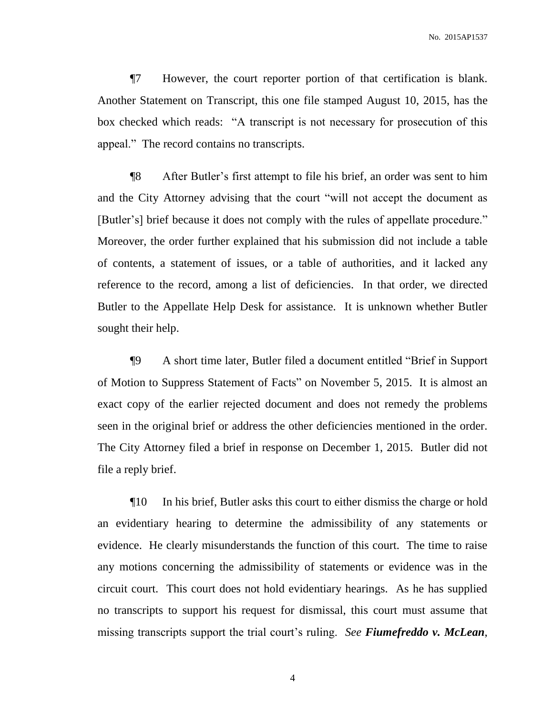¶7 However, the court reporter portion of that certification is blank. Another Statement on Transcript, this one file stamped August 10, 2015, has the box checked which reads: "A transcript is not necessary for prosecution of this appeal." The record contains no transcripts.

¶8 After Butler's first attempt to file his brief, an order was sent to him and the City Attorney advising that the court "will not accept the document as [Butler's] brief because it does not comply with the rules of appellate procedure." Moreover, the order further explained that his submission did not include a table of contents, a statement of issues, or a table of authorities, and it lacked any reference to the record, among a list of deficiencies. In that order, we directed Butler to the Appellate Help Desk for assistance. It is unknown whether Butler sought their help.

¶9 A short time later, Butler filed a document entitled "Brief in Support of Motion to Suppress Statement of Facts" on November 5, 2015. It is almost an exact copy of the earlier rejected document and does not remedy the problems seen in the original brief or address the other deficiencies mentioned in the order. The City Attorney filed a brief in response on December 1, 2015. Butler did not file a reply brief.

¶10 In his brief, Butler asks this court to either dismiss the charge or hold an evidentiary hearing to determine the admissibility of any statements or evidence. He clearly misunderstands the function of this court. The time to raise any motions concerning the admissibility of statements or evidence was in the circuit court. This court does not hold evidentiary hearings. As he has supplied no transcripts to support his request for dismissal, this court must assume that missing transcripts support the trial court's ruling. *See Fiumefreddo v. McLean*,

4